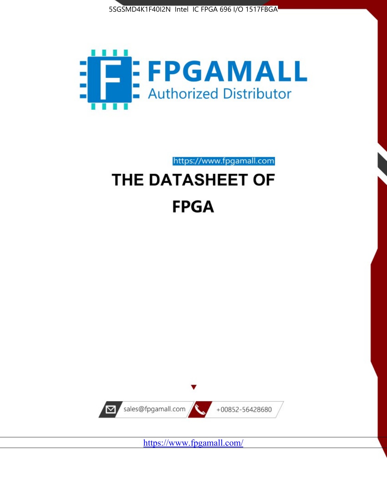



# https://www.fpgamall.com THE DATASHEET OF **FPGA**



<https://www.fpgamall.com/>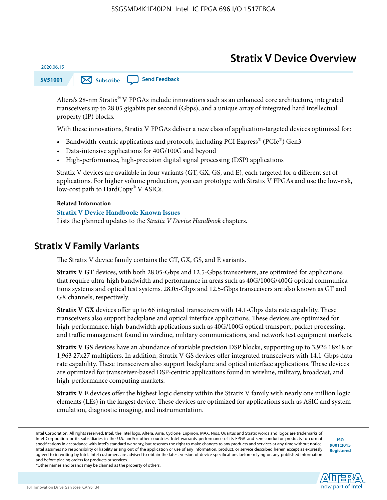# **Stratix V Device Overview**

**SV51001 [Subscribe](https://www.altera.com/servlets/subscriptions/alert?id=SV51001) [Send Feedback](mailto:FPGAtechdocfeedback@intel.com?subject=Feedback%20on%20(SV51001%202020.06.15)%20Stratix%20V%20Device%20Overview&body=We%20appreciate%20your%20feedback.%20In%20your%20comments,%20also%20specify%20the%20page%20number%20or%20paragraph.%20Thank%20you.)** 

Altera's 28-nm Stratix® V FPGAs include innovations such as an enhanced core architecture, integrated transceivers up to 28.05 gigabits per second (Gbps), and a unique array of integrated hard intellectual property (IP) blocks.

With these innovations, Stratix V FPGAs deliver a new class of application-targeted devices optimized for:

- Bandwidth-centric applications and protocols, including PCI Express® (PCIe®) Gen3
- Data-intensive applications for 40G/100G and beyond
- High-performance, high-precision digital signal processing (DSP) applications

Stratix V devices are available in four variants (GT, GX, GS, and E), each targeted for a different set of applications. For higher volume production, you can prototype with Stratix V FPGAs and use the low-risk, low-cost path to HardCopy® V ASICs.

#### **Related Information**

2020.06.15

#### **[Stratix V Device Handbook: Known Issues](http://www.altera.com/support/kdb/solutions/rd08242010_83.html)**

Lists the planned updates to the *Stratix V Device Handbook* chapters.

### **Stratix V Family Variants**

The Stratix V device family contains the GT, GX, GS, and E variants.

**Stratix V GT** devices, with both 28.05-Gbps and 12.5-Gbps transceivers, are optimized for applications that require ultra-high bandwidth and performance in areas such as 40G/100G/400G optical communica‐ tions systems and optical test systems. 28.05-Gbps and 12.5-Gbps transceivers are also known as GT and GX channels, respectively.

**Stratix V GX** devices offer up to 66 integrated transceivers with 14.1-Gbps data rate capability. These transceivers also support backplane and optical interface applications. These devices are optimized for high-performance, high-bandwidth applications such as 40G/100G optical transport, packet processing, and traffic management found in wireline, military communications, and network test equipment markets.

**Stratix V GS** devices have an abundance of variable precision DSP blocks, supporting up to 3,926 18x18 or 1,963 27x27 multipliers. In addition, Stratix V GS devices offer integrated transceivers with 14.1-Gbps data rate capability. These transceivers also support backplane and optical interface applications. These devices are optimized for transceiver-based DSP-centric applications found in wireline, military, broadcast, and high-performance computing markets.

**Stratix V E** devices offer the highest logic density within the Stratix V family with nearly one million logic elements (LEs) in the largest device. These devices are optimized for applications such as ASIC and system emulation, diagnostic imaging, and instrumentation.

**[ISO](http://www.altera.com/support/devices/reliability/certifications/rel-certifications.html) [9001:2015](http://www.altera.com/support/devices/reliability/certifications/rel-certifications.html) [Registered](http://www.altera.com/support/devices/reliability/certifications/rel-certifications.html)**



\*Other names and brands may be claimed as the property of others.

Intel Corporation. All rights reserved. Intel, the Intel logo, Altera, Arria, Cyclone, Enpirion, MAX, Nios, Quartus and Stratix words and logos are trademarks of Intel Corporation or its subsidiaries in the U.S. and/or other countries. Intel warrants performance of its FPGA and semiconductor products to current specifications in accordance with Intel's standard warranty, but reserves the right to make changes to any products and services at any time without notice. Intel assumes no responsibility or liability arising out of the application or use of any information, product, or service described herein except as expressly agreed to in writing by Intel. Intel customers are advised to obtain the latest version of device specifications before relying on any published information and before placing orders for products or services.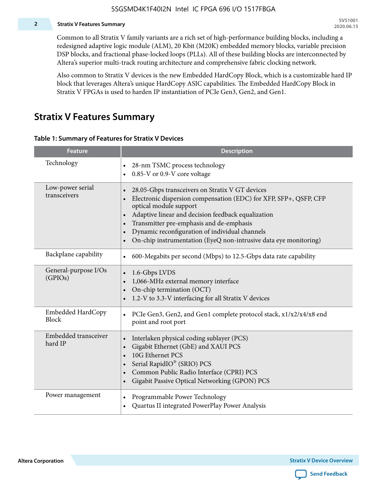#### **2 Stratix V Features Summary**

Common to all Stratix V family variants are a rich set of high-performance building blocks, including a redesigned adaptive logic module (ALM), 20 Kbit (M20K) embedded memory blocks, variable precision DSP blocks, and fractional phase-locked loops (PLLs). All of these building blocks are interconnected by Altera's superior multi-track routing architecture and comprehensive fabric clocking network.

Also common to Stratix V devices is the new Embedded HardCopy Block, which is a customizable hard IP block that leverages Altera's unique HardCopy ASIC capabilities. The Embedded HardCopy Block in Stratix V FPGAs is used to harden IP instantiation of PCIe Gen3, Gen2, and Gen1.

### **Stratix V Features Summary**

#### **Table 1: Summary of Features for Stratix V Devices**

| <b>Feature</b>                   | <b>Description</b>                                                                                                                                                                                                                                                                                                                                                                                                         |
|----------------------------------|----------------------------------------------------------------------------------------------------------------------------------------------------------------------------------------------------------------------------------------------------------------------------------------------------------------------------------------------------------------------------------------------------------------------------|
| Technology                       | 28-nm TSMC process technology<br>0.85-V or 0.9-V core voltage                                                                                                                                                                                                                                                                                                                                                              |
| Low-power serial<br>transceivers | 28.05-Gbps transceivers on Stratix V GT devices<br>$\bullet$<br>Electronic dispersion compensation (EDC) for XFP, SFP+, QSFP, CFP<br>optical module support<br>Adaptive linear and decision feedback equalization<br>$\bullet$<br>Transmitter pre-emphasis and de-emphasis<br>Dynamic reconfiguration of individual channels<br>$\bullet$<br>On-chip instrumentation (EyeQ non-intrusive data eye monitoring)<br>$\bullet$ |
| Backplane capability             | 600-Megabits per second (Mbps) to 12.5-Gbps data rate capability<br>$\bullet$                                                                                                                                                                                                                                                                                                                                              |
| General-purpose I/Os<br>(GPIOs)  | 1.6-Gbps LVDS<br>1,066-MHz external memory interface<br>$\bullet$<br>On-chip termination (OCT)<br>$\bullet$<br>1.2-V to 3.3-V interfacing for all Stratix V devices                                                                                                                                                                                                                                                        |
| Embedded HardCopy<br>Block       | PCIe Gen3, Gen2, and Gen1 complete protocol stack, x1/x2/x4/x8 end<br>$\bullet$<br>point and root port                                                                                                                                                                                                                                                                                                                     |
| Embedded transceiver<br>hard IP  | Interlaken physical coding sublayer (PCS)<br>$\bullet$<br>Gigabit Ethernet (GbE) and XAUI PCS<br>$\bullet$<br>10G Ethernet PCS<br>Serial RapidIO® (SRIO) PCS<br>$\bullet$<br>Common Public Radio Interface (CPRI) PCS<br>$\bullet$<br>Gigabit Passive Optical Networking (GPON) PCS<br>$\bullet$                                                                                                                           |
| Power management                 | Programmable Power Technology<br>$\bullet$<br>Quartus II integrated PowerPlay Power Analysis<br>$\bullet$                                                                                                                                                                                                                                                                                                                  |

**Altera Corporation** 

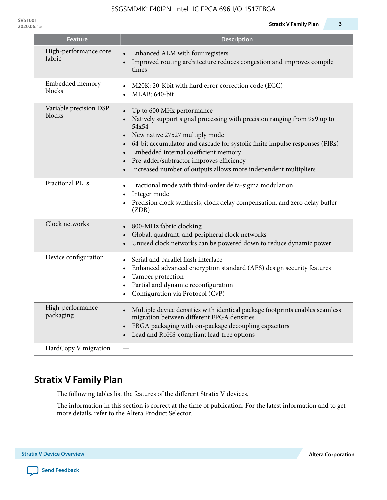| <b>Feature</b>                   | <b>Description</b>                                                                                                                                                                                                                                                                                                                                                                                  |
|----------------------------------|-----------------------------------------------------------------------------------------------------------------------------------------------------------------------------------------------------------------------------------------------------------------------------------------------------------------------------------------------------------------------------------------------------|
| High-performance core<br>fabric  | Enhanced ALM with four registers<br>Improved routing architecture reduces congestion and improves compile<br>times                                                                                                                                                                                                                                                                                  |
| Embedded memory<br>blocks        | M20K: 20-Kbit with hard error correction code (ECC)<br>MLAB: 640-bit<br>$\bullet$                                                                                                                                                                                                                                                                                                                   |
| Variable precision DSP<br>blocks | Up to 600 MHz performance<br>$\bullet$<br>Natively support signal processing with precision ranging from 9x9 up to<br>54x54<br>New native 27x27 multiply mode<br>64-bit accumulator and cascade for systolic finite impulse responses (FIRs)<br>Embedded internal coefficient memory<br>Pre-adder/subtractor improves efficiency<br>Increased number of outputs allows more independent multipliers |
| <b>Fractional PLLs</b>           | Fractional mode with third-order delta-sigma modulation<br>$\bullet$<br>Integer mode<br>$\bullet$<br>Precision clock synthesis, clock delay compensation, and zero delay buffer<br>$\bullet$<br>(ZDB)                                                                                                                                                                                               |
| Clock networks                   | 800-MHz fabric clocking<br>Global, quadrant, and peripheral clock networks<br>Unused clock networks can be powered down to reduce dynamic power                                                                                                                                                                                                                                                     |
| Device configuration             | Serial and parallel flash interface<br>$\bullet$<br>Enhanced advanced encryption standard (AES) design security features<br>$\bullet$<br>Tamper protection<br>$\bullet$<br>Partial and dynamic reconfiguration<br>$\bullet$<br>Configuration via Protocol (CvP)                                                                                                                                     |
| High-performance<br>packaging    | Multiple device densities with identical package footprints enables seamless<br>$\bullet$<br>migration between different FPGA densities<br>FBGA packaging with on-package decoupling capacitors<br>$\bullet$<br>Lead and RoHS-compliant lead-free options                                                                                                                                           |
| HardCopy V migration             |                                                                                                                                                                                                                                                                                                                                                                                                     |

# **Stratix V Family Plan**

The following tables list the features of the different Stratix V devices.

The information in this section is correct at the time of publication. For the latest information and to get more details, refer to the Altera Product Selector.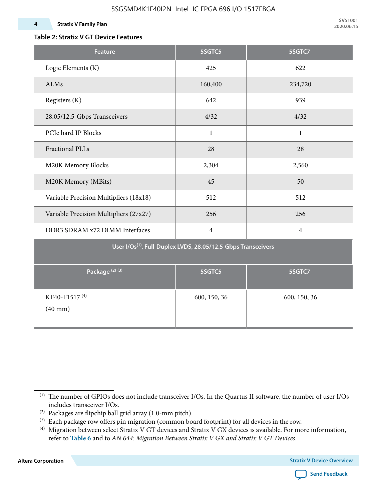#### **4 Stratix V Family Plan**

**SV51001 2020.06.15**

#### **Table 2: Stratix V GT Device Features**

| <b>Feature</b>                                                            | 5SGTC5         | 5SGTC7         |  |  |  |  |  |  |
|---------------------------------------------------------------------------|----------------|----------------|--|--|--|--|--|--|
| Logic Elements (K)                                                        | 425            | 622            |  |  |  |  |  |  |
| ALMs                                                                      | 160,400        | 234,720        |  |  |  |  |  |  |
| Registers (K)                                                             | 642            | 939            |  |  |  |  |  |  |
| 28.05/12.5-Gbps Transceivers                                              | 4/32           | 4/32           |  |  |  |  |  |  |
| PCIe hard IP Blocks                                                       | $\mathbf{1}$   | $\mathbf{1}$   |  |  |  |  |  |  |
| <b>Fractional PLLs</b>                                                    | 28             | 28             |  |  |  |  |  |  |
| M20K Memory Blocks                                                        | 2,304          | 2,560          |  |  |  |  |  |  |
| M20K Memory (MBits)                                                       | 45             | 50             |  |  |  |  |  |  |
| Variable Precision Multipliers (18x18)                                    | 512            | 512            |  |  |  |  |  |  |
| Variable Precision Multipliers (27x27)                                    | 256            | 256            |  |  |  |  |  |  |
| DDR3 SDRAM x72 DIMM Interfaces                                            | $\overline{4}$ | $\overline{4}$ |  |  |  |  |  |  |
| User I/Os <sup>(1)</sup> , Full-Duplex LVDS, 28.05/12.5-Gbps Transceivers |                |                |  |  |  |  |  |  |
| Package <sup>(2)(3)</sup>                                                 | 5SGTC5         | 5SGTC7         |  |  |  |  |  |  |
| KF40-F1517 <sup>(4)</sup><br>$(40$ mm $)$                                 | 600, 150, 36   | 600, 150, 36   |  |  |  |  |  |  |

**Altera Corporation** 



<sup>(1)</sup> The number of GPIOs does not include transceiver I/Os. In the Quartus II software, the number of user I/Os includes transceiver I/Os.

 $^{(2)}$  Packages are flipchip ball grid array (1.0-mm pitch).

<sup>(3)</sup> Each package row offers pin migration (common board footprint) for all devices in the row.

<sup>(4)</sup> Migration between select Stratix V GT devices and Stratix V GX devices is available. For more information, refer to **Table 6** and to *AN 644: Migration Between Stratix V GX and Stratix V GT Devices*.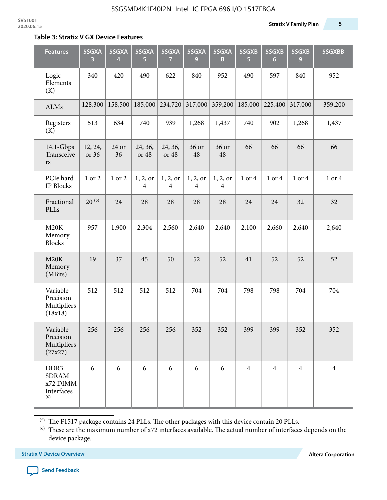#### **Table 3: Stratix V GX Device Features**

| <b>Features</b>                                       | 5SGXA<br>3       | 5SGXA<br>4  | 5SGXA<br>5                 | 5SGXA<br>$\overline{7}$    | 5SGXA<br>9                 | 5SGXA<br>B                 | 5SGXB<br>5     | 5SGXB<br>$6\phantom{1}6$ | 5SGXB<br>9     | 5SGXBB         |
|-------------------------------------------------------|------------------|-------------|----------------------------|----------------------------|----------------------------|----------------------------|----------------|--------------------------|----------------|----------------|
| Logic<br>Elements<br>(K)                              | 340              | 420         | 490                        | 622                        | 840                        | 952                        | 490            | 597                      | 840            | 952            |
| <b>ALMs</b>                                           | 128,300          | 158,500     | 185,000                    | 234,720                    | 317,000                    | 359,200                    | 185,000        | 225,400                  | 317,000        | 359,200        |
| Registers<br>(K)                                      | 513              | 634         | 740                        | 939                        | 1,268                      | 1,437                      | 740            | 902                      | 1,268          | 1,437          |
| 14.1-Gbps<br>Transceive<br>rs                         | 12, 24,<br>or 36 | 24 or<br>36 | 24, 36,<br>or 48           | 24, 36,<br>or 48           | 36 or<br>48                | 36 or<br>48                | 66             | 66                       | 66             | 66             |
| PCIe hard<br>IP Blocks                                | 1 or 2           | 1 or 2      | 1, 2, or<br>$\overline{4}$ | 1, 2, or<br>$\overline{4}$ | 1, 2, or<br>$\overline{4}$ | 1, 2, or<br>$\overline{4}$ | 1 or 4         | 1 or 4                   | 1 or 4         | 1 or 4         |
| Fractional<br>PLLs                                    | $20^{(5)}$       | 24          | 28                         | 28                         | 28                         | 28                         | 24             | 24                       | 32             | 32             |
| M20K<br>Memory<br><b>Blocks</b>                       | 957              | 1,900       | 2,304                      | 2,560                      | 2,640                      | 2,640                      | 2,100          | 2,660                    | 2,640          | 2,640          |
| M20K<br>Memory<br>(MBits)                             | 19               | 37          | 45                         | 50                         | 52                         | 52                         | 41             | 52                       | 52             | 52             |
| Variable<br>Precision<br>Multipliers<br>(18x18)       | 512              | 512         | 512                        | 512                        | 704                        | 704                        | 798            | 798                      | 704            | 704            |
| Variable<br>Precision<br>Multipliers<br>(27x27)       | 256              | 256         | 256                        | 256                        | 352                        | 352                        | 399            | 399                      | 352            | 352            |
| DDR3<br><b>SDRAM</b><br>x72 DIMM<br>Interfaces<br>(6) | 6                | 6           | 6                          | 6                          | 6                          | 6                          | $\overline{4}$ | $\overline{4}$           | $\overline{4}$ | $\overline{4}$ |

 $^{\left(5\right)}$  The F1517 package contains 24 PLLs. The other packages with this device contain 20 PLLs.

(6) These are the maximum number of x72 interfaces available. The actual number of interfaces depends on the device package.

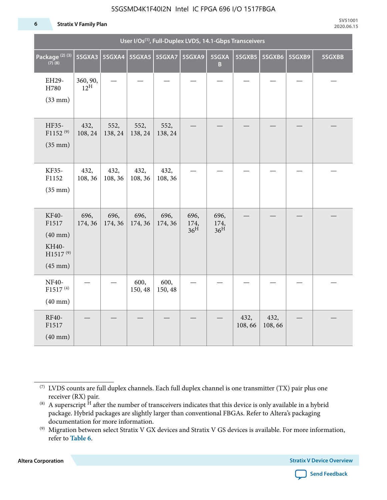#### 5SGSMD4K1F40I2N Intel IC FPGA 696 I/O 1517FBGA

#### **6 Stratix V Family Plan**

|                                                                               | User I/Os <sup>(1)</sup> , Full-Duplex LVDS, 14.1-Gbps Transceivers |                 |                 |                 |                                 |                                 |                |                |        |        |
|-------------------------------------------------------------------------------|---------------------------------------------------------------------|-----------------|-----------------|-----------------|---------------------------------|---------------------------------|----------------|----------------|--------|--------|
| Package <sup>(2)</sup> <sup>(3)</sup><br>(7)(8)                               | 5SGXA3                                                              | 5SGXA4          | 5SGXA5          | 5SGXA7          | 5SGXA9                          | 5SGXA<br>$\mathbf{B}$           | 5SGXB5         | 5SGXB6         | 5SGXB9 | 5SGXBB |
| EH29-<br>H780<br>$(33$ mm $)$                                                 | 360, 90,<br>$12^{\text{H}}$                                         |                 |                 |                 |                                 |                                 |                |                |        |        |
| HF35-<br>F1152 <sup>(9)</sup><br>$(35$ mm $)$                                 | 432,<br>108, 24                                                     | 552,<br>138, 24 | 552,<br>138, 24 | 552,<br>138, 24 |                                 |                                 |                |                |        |        |
| KF35-<br>F1152<br>$(35$ mm $)$                                                | 432,<br>108, 36                                                     | 432,<br>108, 36 | 432,<br>108, 36 | 432,<br>108, 36 |                                 |                                 |                |                |        |        |
| KF40-<br>F1517<br>$(40$ mm $)$<br>KH40-<br>$H1517^{(9)}$<br>$(45 \text{ mm})$ | 696,<br>174, 36                                                     | 696,<br>174, 36 | 696,<br>174, 36 | 696,<br>174, 36 | 696,<br>174,<br>36 <sup>H</sup> | 696,<br>174,<br>36 <sup>H</sup> |                |                |        |        |
| NF40-<br>F1517 <sup>(4)</sup><br>$(40 \text{ mm})$                            |                                                                     |                 | 600,<br>150, 48 | 600,<br>150, 48 |                                 |                                 |                |                |        |        |
| RF40-<br>F1517<br>$(40 \text{ mm})$                                           |                                                                     |                 |                 |                 |                                 |                                 | 432,<br>108,66 | 432,<br>108,66 |        |        |

**Altera Corporation** 



<sup>(7)</sup> LVDS counts are full duplex channels. Each full duplex channel is one transmitter (TX) pair plus one receiver (RX) pair.

<sup>(8)</sup> A superscript  $H$  after the number of transceivers indicates that this device is only available in a hybrid package. Hybrid packages are slightly larger than conventional FBGAs. Refer to Altera's packaging documentation for more information.

<sup>(9)</sup> Migration between select Stratix V GX devices and Stratix V GS devices is available. For more information, refer to **Table 6**.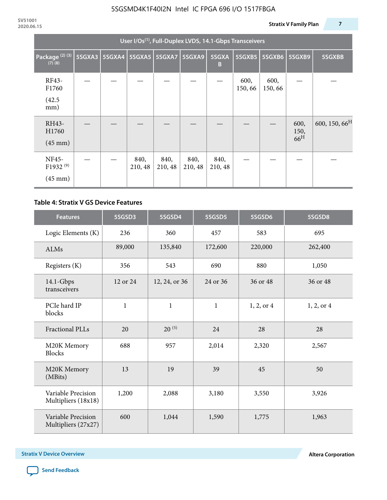| User I/Os <sup>(1)</sup> , Full-Duplex LVDS, 14.1-Gbps Transceivers |        |               |                 |                 |                 |                 |                |                |                                 |                           |
|---------------------------------------------------------------------|--------|---------------|-----------------|-----------------|-----------------|-----------------|----------------|----------------|---------------------------------|---------------------------|
| Package <sup>(2)(3)</sup><br>$(7)$ $(8)$                            | 5SGXA3 | <b>5SGXA4</b> |                 | 5SGXA5 5SGXA7   | 5SGXA9          | 5SGXA<br>B      | 5SGXB5         | 5SGXB6         | 5SGXB9                          | 5SGXBB                    |
| RF43-<br>F1760<br>(42.5)<br>mm)                                     |        |               |                 |                 |                 |                 | 600,<br>150,66 | 600,<br>150,66 |                                 |                           |
| RH43-<br>H1760<br>$(45 \text{ mm})$                                 |        |               |                 |                 |                 |                 |                |                | 600,<br>150,<br>66 <sup>H</sup> | 600, 150, 66 <sup>H</sup> |
| NF45-<br>F1932 <sup>(9)</sup><br>$(45 \text{ mm})$                  |        |               | 840,<br>210, 48 | 840,<br>210, 48 | 840,<br>210, 48 | 840,<br>210, 48 |                |                |                                 |                           |

#### **Table 4: Stratix V GS Device Features**

| <b>Features</b>                           | 5SGSD3       | 5SGSD4        | 5SGSD5       | 5SGSD6     | 5SGSD8     |
|-------------------------------------------|--------------|---------------|--------------|------------|------------|
| Logic Elements (K)                        | 236          | 360           | 457          | 583        | 695        |
| <b>ALMs</b>                               | 89,000       | 135,840       | 172,600      | 220,000    | 262,400    |
| Registers (K)                             | 356          | 543           | 690          | 880        | 1,050      |
| $14.1$ -Gbps<br>transceivers              | 12 or 24     | 12, 24, or 36 | 24 or 36     | 36 or 48   | 36 or 48   |
| PCIe hard IP<br>blocks                    | $\mathbf{1}$ | $\mathbf{1}$  | $\mathbf{1}$ | 1, 2, or 4 | 1, 2, or 4 |
| <b>Fractional PLLs</b>                    | 20           | $20^{(5)}$    | 24           | 28         | 28         |
| M20K Memory<br><b>Blocks</b>              | 688          | 957           | 2,014        | 2,320      | 2,567      |
| M20K Memory<br>(MBits)                    | 13           | 19            | 39           | 45         | 50         |
| Variable Precision<br>Multipliers (18x18) | 1,200        | 2,088         | 3,180        | 3,550      | 3,926      |
| Variable Precision<br>Multipliers (27x27) | 600          | 1,044         | 1,590        | 1,775      | 1,963      |

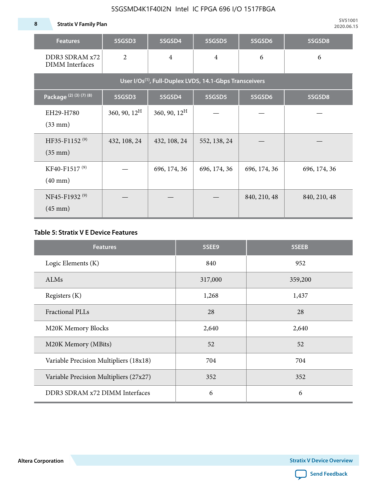**8 Stratix V Family Plan**

| <b>Features</b>                                                     | 5SGSD3          | 5SGSD4          | 5SGSD5         | 5SGSD6       | 5SGSD8       |  |  |  |  |  |  |  |
|---------------------------------------------------------------------|-----------------|-----------------|----------------|--------------|--------------|--|--|--|--|--|--|--|
| DDR3 SDRAM x72<br><b>DIMM</b> Interfaces                            | $\overline{2}$  | $\overline{4}$  | $\overline{4}$ | 6            | 6            |  |  |  |  |  |  |  |
| User I/Os <sup>(1)</sup> , Full-Duplex LVDS, 14.1-Gbps Transceivers |                 |                 |                |              |              |  |  |  |  |  |  |  |
| Package (2) (3) (7) (8)                                             | 5SGSD3          | 5SGSD4          | 5SGSD5         | 5SGSD6       | 5SGSD8       |  |  |  |  |  |  |  |
| EH29-H780<br>$(33$ mm $)$                                           | 360, 90, $12^H$ | 360, 90, $12^H$ |                |              |              |  |  |  |  |  |  |  |
| HF35-F1152 <sup>(9)</sup><br>$(35 \text{ mm})$                      | 432, 108, 24    | 432, 108, 24    | 552, 138, 24   |              |              |  |  |  |  |  |  |  |
| KF40-F1517 <sup>(9)</sup><br>$(40 \text{ mm})$                      |                 | 696, 174, 36    | 696, 174, 36   | 696, 174, 36 | 696, 174, 36 |  |  |  |  |  |  |  |
| NF45-F1932 <sup>(9)</sup><br>$(45 \text{ mm})$                      |                 |                 |                | 840, 210, 48 | 840, 210, 48 |  |  |  |  |  |  |  |

#### **Table 5: Stratix V E Device Features**

| <b>Features</b>                        | 5SEE9   | 5SEEB   |
|----------------------------------------|---------|---------|
| Logic Elements (K)                     | 840     | 952     |
| <b>ALMs</b>                            | 317,000 | 359,200 |
| Registers (K)                          | 1,268   | 1,437   |
| Fractional PLLs                        | 28      | 28      |
| M20K Memory Blocks                     | 2,640   | 2,640   |
| M20K Memory (MBits)                    | 52      | 52      |
| Variable Precision Multipliers (18x18) | 704     | 704     |
| Variable Precision Multipliers (27x27) | 352     | 352     |
| DDR3 SDRAM x72 DIMM Interfaces         | 6       | 6       |

**Altera Corporation** 

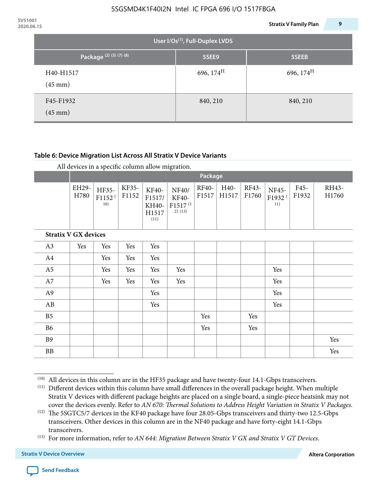| 2020.06.15 |                                       |                       | 9<br><b>Stratix V Family Plan</b> |  |  |  |  |  |  |  |  |
|------------|---------------------------------------|-----------------------|-----------------------------------|--|--|--|--|--|--|--|--|
|            | User I/Os $^{(1)}$ , Full-Duplex LVDS |                       |                                   |  |  |  |  |  |  |  |  |
|            | Package <sup>(2)(3)(7)(8)</sup>       | 5SEE9                 | 5SEEB                             |  |  |  |  |  |  |  |  |
|            | H40-H1517<br>$(45 \text{ mm})$        | 696, $174^{\text{H}}$ | 696, 174 <sup>H</sup>             |  |  |  |  |  |  |  |  |
|            | F45-F1932<br>$(45 \text{ mm})$        | 840, 210              | 840, 210                          |  |  |  |  |  |  |  |  |

#### **Table 6: Device Migration List Across All Stratix V Device Variants**

|                             |               | Package                            |                |                                           |                                                           |                |               |                |                                    |               |                |
|-----------------------------|---------------|------------------------------------|----------------|-------------------------------------------|-----------------------------------------------------------|----------------|---------------|----------------|------------------------------------|---------------|----------------|
|                             | EH29-<br>H780 | HF35-<br>F1152 <sup>(</sup><br>10) | KF35-<br>F1152 | KF40-<br>F1517/<br>KH40-<br>H1517<br>(11) | NF40/<br><b>KF40-</b><br>F1517 <sup>(1</sup><br>$2)$ (13) | RF40-<br>F1517 | H40-<br>H1517 | RF43-<br>F1760 | NF45-<br>F1932 <sup>(</sup><br>11) | F45-<br>F1932 | RH43-<br>H1760 |
| <b>Stratix V GX devices</b> |               |                                    |                |                                           |                                                           |                |               |                |                                    |               |                |
| A3                          | Yes           | Yes                                | Yes            | Yes                                       |                                                           |                |               |                |                                    |               |                |
| A4                          |               | Yes                                | Yes            | Yes                                       |                                                           |                |               |                |                                    |               |                |
| A <sub>5</sub>              |               | Yes                                | Yes            | Yes                                       | Yes                                                       |                |               |                | Yes                                |               |                |
| A7                          |               | Yes                                | Yes            | Yes                                       | Yes                                                       |                |               |                | Yes                                |               |                |
| A <sub>9</sub>              |               |                                    |                | Yes                                       |                                                           |                |               |                | Yes                                |               |                |
| AB                          |               |                                    |                | Yes                                       |                                                           |                |               |                | Yes                                |               |                |
| B <sub>5</sub>              |               |                                    |                |                                           |                                                           | Yes            |               | Yes            |                                    |               |                |
| B <sub>6</sub>              |               |                                    |                |                                           |                                                           | Yes            |               | Yes            |                                    |               |                |
| <b>B9</b>                   |               |                                    |                |                                           |                                                           |                |               |                |                                    |               | Yes            |
| <b>BB</b>                   |               |                                    |                |                                           |                                                           |                |               |                |                                    |               | Yes            |

 $(10)$  All devices in this column are in the HF35 package and have twenty-four 14.1-Gbps transceivers.



<sup>(11)</sup> Different devices within this column have small differences in the overall package height. When multiple Stratix V devices with different package heights are placed on a single board, a single-piece heatsink may not cover the devices evenly. Refer to *AN 670: Thermal Solutions to Address Height Variation in Stratix V Packages*.

<sup>(12)</sup> The 5SGTC5/7 devices in the KF40 package have four 28.05-Gbps transceivers and thirty-two 12.5-Gbps transceivers. Other devices in this column are in the NF40 package and have forty-eight 14.1-Gbps transceivers.

<sup>(13)</sup> For more information, refer to *AN 644: Migration Between Stratix V GX and Stratix V GT Devices*.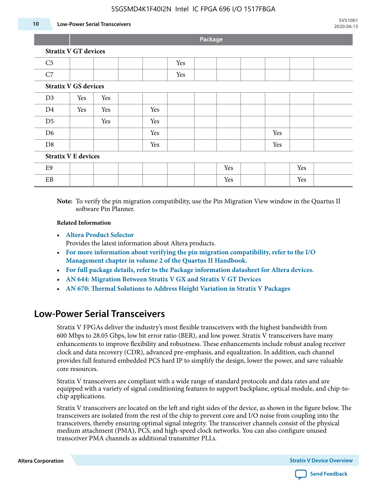#### 5SGSMD4K1F40I2N Intel IC FPGA 696 I/O 1517FBGA

#### **10 Low-Power Serial Transceivers**

**Package**

|    | <b>Stratix V GT devices</b> |  |  |  |     |  |  |  |
|----|-----------------------------|--|--|--|-----|--|--|--|
| C5 |                             |  |  |  | Yes |  |  |  |
|    |                             |  |  |  | Yes |  |  |  |
|    | <b>Stratix V GS devices</b> |  |  |  |     |  |  |  |

| Stratix V GS devices       |     |     |  |     |  |  |     |  |     |     |  |
|----------------------------|-----|-----|--|-----|--|--|-----|--|-----|-----|--|
| D <sub>3</sub>             | Yes | Yes |  |     |  |  |     |  |     |     |  |
| D <sub>4</sub>             | Yes | Yes |  | Yes |  |  |     |  |     |     |  |
| D <sub>5</sub>             |     | Yes |  | Yes |  |  |     |  |     |     |  |
| D <sub>6</sub>             |     |     |  | Yes |  |  |     |  | Yes |     |  |
| D <sub>8</sub>             |     |     |  | Yes |  |  |     |  | Yes |     |  |
| <b>Stratix V E devices</b> |     |     |  |     |  |  |     |  |     |     |  |
| E9                         |     |     |  |     |  |  | Yes |  |     | Yes |  |

**Note:** To verify the pin migration compatibility, use the Pin Migration View window in the Quartus II software Pin Planner.

#### **Related Information**

• **[Altera Product Selector](http://www.altera.com/products/selector/psg-selector.html#)**

Provides the latest information about Altera products.

- **[For more information about verifying the pin migration compatibility, refer to the I/O](http://www.altera.com/literature/hb/qts/qts_qii52013.pdf) [Management chapter in volume 2 of the Quartus II Handbook.](http://www.altera.com/literature/hb/qts/qts_qii52013.pdf)**
- **[For full package details, refer to the Package information datasheet for Altera devices.](http://www.altera.com/support/devices/packaging/specifications/pkg-pin/spe-index.jsp)**
- **[AN 644: Migration Between Stratix V GX and Stratix V GT Devices](http://www.altera.com/literature/an/an644.pdf)**
- **[AN 670: Thermal Solutions to Address Height Variation in Stratix V Packages](http://www.altera.com/literature/an/an670.pdf)**

EB | | | | | | | Yes | | Yes

### **Low-Power Serial Transceivers**

Stratix V FPGAs deliver the industry's most flexible transceivers with the highest bandwidth from 600 Mbps to 28.05 Gbps, low bit error ratio (BER), and low power. Stratix V transceivers have many enhancements to improve flexibility and robustness. These enhancements include robust analog receiver clock and data recovery (CDR), advanced pre-emphasis, and equalization. In addition, each channel provides full featured embedded PCS hard IP to simplify the design, lower the power, and save valuable core resources.

Stratix V transceivers are compliant with a wide range of standard protocols and data rates and are equipped with a variety of signal conditioning features to support backplane, optical module, and chip-tochip applications.

Stratix V transceivers are located on the left and right sides of the device, as shown in the figure below. The transceivers are isolated from the rest of the chip to prevent core and I/O noise from coupling into the transceivers, thereby ensuring optimal signal integrity. The transceiver channels consist of the physical medium attachment (PMA), PCS, and high-speed clock networks. You can also configure unused transceiver PMA channels as additional transmitter PLLs.

**Altera Corporation Stratix V Device Overview**

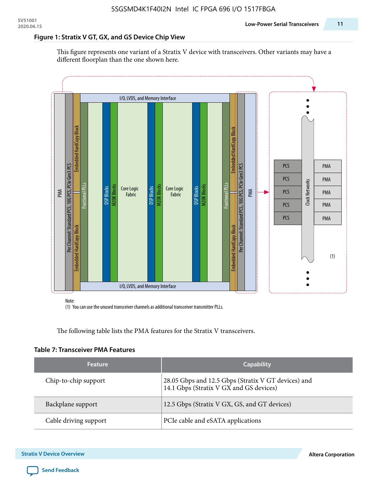#### **Figure 1: Stratix V GT, GX, and GS Device Chip View**

This figure represents one variant of a Stratix V device with transceivers. Other variants may have a different floorplan than the one shown here.



(1) You can use the unused transceiver channels as additional transceiver transmitter PLLs.

The following table lists the PMA features for the Stratix V transceivers.

#### **Table 7: Transceiver PMA Features**

| <b>Feature</b>        | <b>Capability</b>                                                                              |
|-----------------------|------------------------------------------------------------------------------------------------|
| Chip-to-chip support  | 28.05 Gbps and 12.5 Gbps (Stratix V GT devices) and<br>14.1 Gbps (Stratix V GX and GS devices) |
| Backplane support     | 12.5 Gbps (Stratix V GX, GS, and GT devices)                                                   |
| Cable driving support | PCIe cable and eSATA applications                                                              |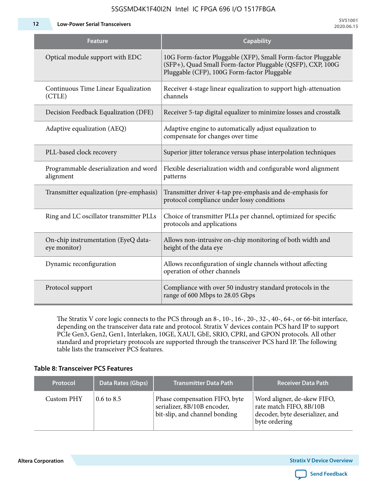5SGSMD4K1F40I2N Intel IC FPGA 696 I/O 1517FBGA

**12 Low-Power Serial Transceivers**

| <b>Feature</b>                                      | <b>Capability</b>                                                                                                                                                         |
|-----------------------------------------------------|---------------------------------------------------------------------------------------------------------------------------------------------------------------------------|
| Optical module support with EDC                     | 10G Form-factor Pluggable (XFP), Small Form-factor Pluggable<br>(SFP+), Quad Small Form-factor Pluggable (QSFP), CXP, 100G<br>Pluggable (CFP), 100G Form-factor Pluggable |
| Continuous Time Linear Equalization<br>(CTLE)       | Receiver 4-stage linear equalization to support high-attenuation<br>channels                                                                                              |
| Decision Feedback Equalization (DFE)                | Receiver 5-tap digital equalizer to minimize losses and crosstalk                                                                                                         |
| Adaptive equalization (AEQ)                         | Adaptive engine to automatically adjust equalization to<br>compensate for changes over time                                                                               |
| PLL-based clock recovery                            | Superior jitter tolerance versus phase interpolation techniques                                                                                                           |
| Programmable deserialization and word<br>alignment  | Flexible deserialization width and configurable word alignment<br>patterns                                                                                                |
| Transmitter equalization (pre-emphasis)             | Transmitter driver 4-tap pre-emphasis and de-emphasis for<br>protocol compliance under lossy conditions                                                                   |
| Ring and LC oscillator transmitter PLLs             | Choice of transmitter PLLs per channel, optimized for specific<br>protocols and applications                                                                              |
| On-chip instrumentation (EyeQ data-<br>eye monitor) | Allows non-intrusive on-chip monitoring of both width and<br>height of the data eye                                                                                       |
| Dynamic reconfiguration                             | Allows reconfiguration of single channels without affecting<br>operation of other channels                                                                                |
| Protocol support                                    | Compliance with over 50 industry standard protocols in the<br>range of 600 Mbps to 28.05 Gbps                                                                             |

The Stratix V core logic connects to the PCS through an 8-, 10-, 16-, 20-, 32-, 40-, 64-, or 66-bit interface, depending on the transceiver data rate and protocol. Stratix V devices contain PCS hard IP to support PCIe Gen3, Gen2, Gen1, Interlaken, 10GE, XAUI, GbE, SRIO, CPRI, and GPON protocols. All other standard and proprietary protocols are supported through the transceiver PCS hard IP. The following table lists the transceiver PCS features.

#### **Table 8: Transceiver PCS Features**

| <b>Protocol</b> | Data Rates (Gbps)     | <b>Transmitter Data Path</b>                                                                  | <b>Receiver Data Path</b>                                                                                  |
|-----------------|-----------------------|-----------------------------------------------------------------------------------------------|------------------------------------------------------------------------------------------------------------|
| Custom PHY      | $0.6 \text{ to } 8.5$ | Phase compensation FIFO, byte<br>serializer, 8B/10B encoder,<br>bit-slip, and channel bonding | Word aligner, de-skew FIFO,<br>rate match FIFO, 8B/10B<br>decoder, byte deserializer, and<br>byte ordering |

**Altera Corporation** 

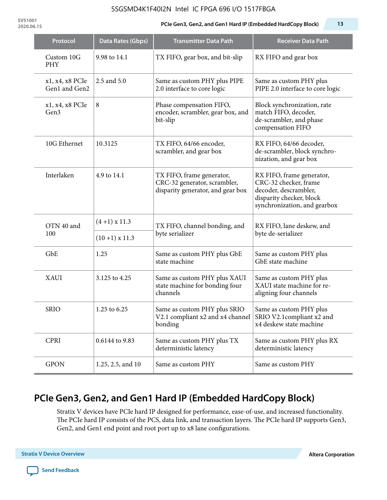#### 5SGSMD4K1F40I2N Intel IC FPGA 696 I/O 1517FBGA

**SV51001**

#### **2020.06.15 PCIe Gen3, Gen2, and Gen1 Hard IP (Embedded HardCopy Block) 13**

| Protocol                         | <b>Data Rates (Gbps)</b> | <b>Transmitter Data Path</b>                                                                           | <b>Receiver Data Path</b>                                                                                                               |  |
|----------------------------------|--------------------------|--------------------------------------------------------------------------------------------------------|-----------------------------------------------------------------------------------------------------------------------------------------|--|
| Custom 10G<br><b>PHY</b>         | 9.98 to 14.1             | TX FIFO, gear box, and bit-slip                                                                        | RX FIFO and gear box                                                                                                                    |  |
| x1, x4, x8 PCIe<br>Gen1 and Gen2 | 2.5 and 5.0              | Same as custom PHY plus PIPE<br>2.0 interface to core logic                                            | Same as custom PHY plus<br>PIPE 2.0 interface to core logic                                                                             |  |
| x1, x4, x8 PCIe<br>Gen3          | 8                        | Phase compensation FIFO,<br>encoder, scrambler, gear box, and<br>bit-slip                              | Block synchronization, rate<br>match FIFO, decoder,<br>de-scrambler, and phase<br>compensation FIFO                                     |  |
| 10G Ethernet                     | 10.3125                  | TX FIFO, 64/66 encoder,<br>scrambler, and gear box                                                     | RX FIFO, 64/66 decoder,<br>de-scrambler, block synchro-<br>nization, and gear box                                                       |  |
| Interlaken                       | 4.9 to 14.1              | TX FIFO, frame generator,<br>CRC-32 generator, scrambler,<br>disparity generator, and gear box         | RX FIFO, frame generator,<br>CRC-32 checker, frame<br>decoder, descrambler,<br>disparity checker, block<br>synchronization, and gearbox |  |
| OTN 40 and                       | $(4+1)$ x 11.3           | TX FIFO, channel bonding, and                                                                          | RX FIFO, lane deskew, and                                                                                                               |  |
| 100                              | $(10+1)$ x 11.3          | byte serializer                                                                                        | byte de-serializer                                                                                                                      |  |
| GbE                              | 1.25                     | Same as custom PHY plus GbE<br>state machine                                                           | Same as custom PHY plus<br>GbE state machine                                                                                            |  |
| <b>XAUI</b>                      | 3.125 to 4.25            | Same as custom PHY plus XAUI<br>state machine for bonding four<br>channels                             | Same as custom PHY plus<br>XAUI state machine for re-<br>aligning four channels                                                         |  |
| <b>SRIO</b>                      | 1.25 to 6.25             | Same as custom PHY plus SRIO<br>V2.1 compliant x2 and x4 channel SRIO V2.1 compliant x2 and<br>bonding | Same as custom PHY plus<br>x4 deskew state machine                                                                                      |  |
| <b>CPRI</b>                      | 0.6144 to 9.83           | Same as custom PHY plus TX<br>deterministic latency                                                    | Same as custom PHY plus RX<br>deterministic latency                                                                                     |  |
| <b>GPON</b>                      | 1.25, 2.5, and 10        | Same as custom PHY                                                                                     | Same as custom PHY                                                                                                                      |  |

# **PCIe Gen3, Gen2, and Gen1 Hard IP (Embedded HardCopy Block)**

Stratix V devices have PCIe hard IP designed for performance, ease-of-use, and increased functionality. The PCIe hard IP consists of the PCS, data link, and transaction layers. The PCIe hard IP supports Gen3, Gen2, and Gen1 end point and root port up to x8 lane configurations.

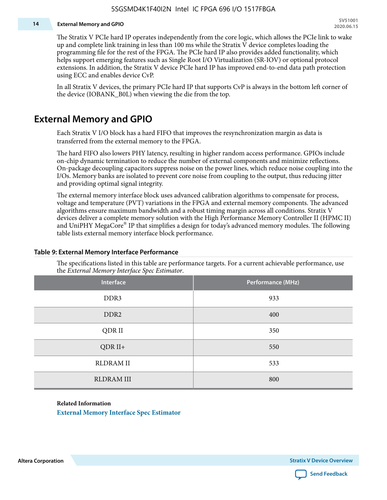#### **14 External Memory and GPIO**

The Stratix V PCIe hard IP operates independently from the core logic, which allows the PCIe link to wake up and complete link training in less than 100 ms while the Stratix V device completes loading the programming file for the rest of the FPGA. The PCIe hard IP also provides added functionality, which helps support emerging features such as Single Root I/O Virtualization (SR-IOV) or optional protocol extensions. In addition, the Stratix V device PCIe hard IP has improved end-to-end data path protection using ECC and enables device CvP.

In all Stratix V devices, the primary PCIe hard IP that supports CvP is always in the bottom left corner of the device (IOBANK\_B0L) when viewing the die from the top.

### **External Memory and GPIO**

Each Stratix V I/O block has a hard FIFO that improves the resynchronization margin as data is transferred from the external memory to the FPGA.

The hard FIFO also lowers PHY latency, resulting in higher random access performance. GPIOs include on-chip dynamic termination to reduce the number of external components and minimize reflections. On-package decoupling capacitors suppress noise on the power lines, which reduce noise coupling into the I/Os. Memory banks are isolated to prevent core noise from coupling to the output, thus reducing jitter and providing optimal signal integrity.

The external memory interface block uses advanced calibration algorithms to compensate for process, voltage and temperature (PVT) variations in the FPGA and external memory components. The advanced algorithms ensure maximum bandwidth and a robust timing margin across all conditions. Stratix V devices deliver a complete memory solution with the High Performance Memory Controller II (HPMC II) and UniPHY MegaCore® IP that simplifies a design for today's advanced memory modules. The following table lists external memory interface block performance.

| Interface         | Performance (MHz) |
|-------------------|-------------------|
| DDR3              | 933               |
| DDR <sub>2</sub>  | 400               |
| QDR II            | 350               |
| $QDR II+$         | 550               |
| <b>RLDRAM II</b>  | 533               |
| <b>RLDRAM III</b> | 800               |

#### **Table 9: External Memory Interface Performance**

The specifications listed in this table are performance targets. For a current achievable performance, use the *External Memory Interface Spec Estimator*.

#### **Related Information**

**[External Memory Interface Spec Estimator](http://www.altera.com/technology/memory/estimator/mem-emif-index.html)**

**Altera Corporation Stratix V Device Overview**

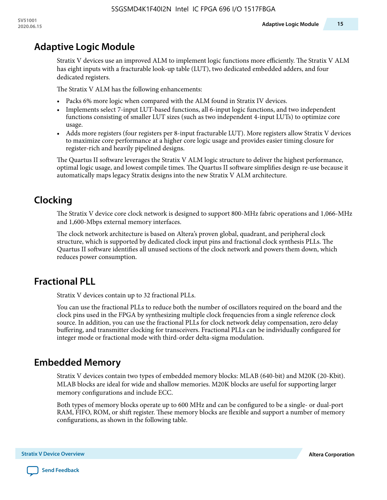## **Adaptive Logic Module**

Stratix V devices use an improved ALM to implement logic functions more efficiently. The Stratix V ALM has eight inputs with a fracturable look-up table (LUT), two dedicated embedded adders, and four dedicated registers.

The Stratix V ALM has the following enhancements:

- Packs 6% more logic when compared with the ALM found in Stratix IV devices.
- Implements select 7-input LUT-based functions, all 6-input logic functions, and two independent functions consisting of smaller LUT sizes (such as two independent 4-input LUTs) to optimize core usage.
- Adds more registers (four registers per 8-input fracturable LUT). More registers allow Stratix V devices to maximize core performance at a higher core logic usage and provides easier timing closure for register-rich and heavily pipelined designs.

The Quartus II software leverages the Stratix V ALM logic structure to deliver the highest performance, optimal logic usage, and lowest compile times. The Quartus II software simplifies design re-use because it automatically maps legacy Stratix designs into the new Stratix V ALM architecture.

## **Clocking**

The Stratix V device core clock network is designed to support 800-MHz fabric operations and 1,066-MHz and 1,600-Mbps external memory interfaces.

The clock network architecture is based on Altera's proven global, quadrant, and peripheral clock structure, which is supported by dedicated clock input pins and fractional clock synthesis PLLs. The Quartus II software identifies all unused sections of the clock network and powers them down, which reduces power consumption.

### **Fractional PLL**

Stratix V devices contain up to 32 fractional PLLs.

You can use the fractional PLLs to reduce both the number of oscillators required on the board and the clock pins used in the FPGA by synthesizing multiple clock frequencies from a single reference clock source. In addition, you can use the fractional PLLs for clock network delay compensation, zero delay buffering, and transmitter clocking for transceivers. Fractional PLLs can be individually configured for integer mode or fractional mode with third-order delta-sigma modulation.

### **Embedded Memory**

Stratix V devices contain two types of embedded memory blocks: MLAB (640-bit) and M20K (20-Kbit). MLAB blocks are ideal for wide and shallow memories. M20K blocks are useful for supporting larger memory configurations and include ECC.

Both types of memory blocks operate up to 600 MHz and can be configured to be a single- or dual-port RAM, FIFO, ROM, or shift register. These memory blocks are flexible and support a number of memory configurations, as shown in the following table.

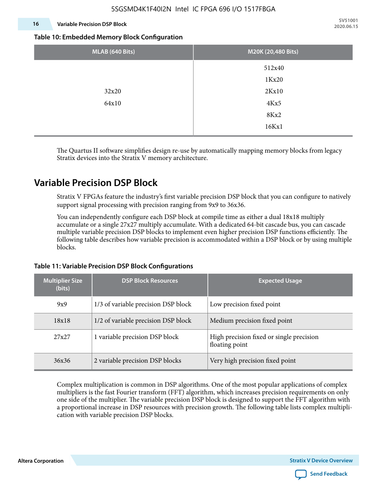#### **16 Variable Precision DSP Block**

**SV51001 2020.06.15**

#### **Table 10: Embedded Memory Block Configuration**

| MLAB (640 Bits) | M20K (20,480 Bits) |
|-----------------|--------------------|
|                 | 512x40             |
|                 | 1Kx20              |
| 32x20           | 2Kx10              |
| 64x10           | 4Kx5               |
|                 | 8Kx2               |
|                 | 16Kx1              |

The Quartus II software simplifies design re-use by automatically mapping memory blocks from legacy Stratix devices into the Stratix V memory architecture.

### **Variable Precision DSP Block**

Stratix V FPGAs feature the industry's first variable precision DSP block that you can configure to natively support signal processing with precision ranging from 9x9 to 36x36.

You can independently configure each DSP block at compile time as either a dual 18x18 multiply accumulate or a single 27x27 multiply accumulate. With a dedicated 64-bit cascade bus, you can cascade multiple variable precision DSP blocks to implement even higher precision DSP functions efficiently. The following table describes how variable precision is accommodated within a DSP block or by using multiple blocks.

# **Multiplier Size (bits) DSP Block Resources Expected Usage** 9x9 1/3 of variable precision DSP block Low precision fixed point  $18x18$  1/2 of variable precision DSP block 14 Medium precision fixed point 27x27 1 variable precision DSP block High precision fixed or single precision floating point 36x36 2 variable precision DSP blocks Very high precision fixed point

#### **Table 11: Variable Precision DSP Block Configurations**

Complex multiplication is common in DSP algorithms. One of the most popular applications of complex multipliers is the fast Fourier transform (FFT) algorithm, which increases precision requirements on only one side of the multiplier. The variable precision DSP block is designed to support the FFT algorithm with a proportional increase in DSP resources with precision growth. The following table lists complex multipli‐ cation with variable precision DSP blocks.

**Altera Corporation Stratix V Device Overview**

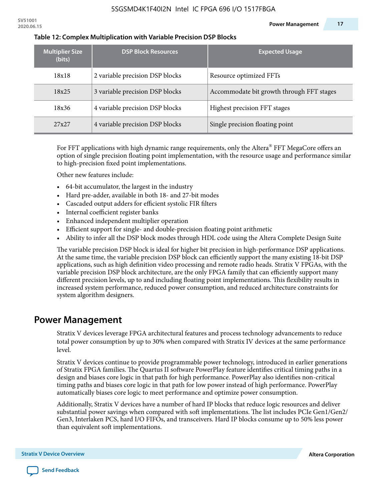| <b>Multiplier Size</b><br>(bits) | <b>DSP Block Resources</b>      | <b>Expected Usage</b>                     |
|----------------------------------|---------------------------------|-------------------------------------------|
| 18x18                            | 2 variable precision DSP blocks | Resource optimized FFTs                   |
| 18x25                            | 3 variable precision DSP blocks | Accommodate bit growth through FFT stages |
| 18x36                            | 4 variable precision DSP blocks | Highest precision FFT stages              |
| 27x27                            | 4 variable precision DSP blocks | Single precision floating point           |

#### **Table 12: Complex Multiplication with Variable Precision DSP Blocks**

For FFT applications with high dynamic range requirements, only the Altera $^\circ$  FFT MegaCore offers an option of single precision floating point implementation, with the resource usage and performance similar to high-precision fixed point implementations.

Other new features include:

- 64-bit accumulator, the largest in the industry
- Hard pre-adder, available in both 18- and 27-bit modes
- Cascaded output adders for efficient systolic FIR filters
- Internal coefficient register banks
- Enhanced independent multiplier operation
- Efficient support for single- and double-precision floating point arithmetic
- Ability to infer all the DSP block modes through HDL code using the Altera Complete Design Suite

The variable precision DSP block is ideal for higher bit precision in high-performance DSP applications. At the same time, the variable precision DSP block can efficiently support the many existing 18-bit DSP applications, such as high definition video processing and remote radio heads. Stratix V FPGAs, with the variable precision DSP block architecture, are the only FPGA family that can efficiently support many different precision levels, up to and including floating point implementations. This flexibility results in increased system performance, reduced power consumption, and reduced architecture constraints for system algorithm designers.

### **Power Management**

Stratix V devices leverage FPGA architectural features and process technology advancements to reduce total power consumption by up to 30% when compared with Stratix IV devices at the same performance level.

Stratix V devices continue to provide programmable power technology, introduced in earlier generations of Stratix FPGA families. The Quartus II software PowerPlay feature identifies critical timing paths in a design and biases core logic in that path for high performance. PowerPlay also identifies non-critical timing paths and biases core logic in that path for low power instead of high performance. PowerPlay automatically biases core logic to meet performance and optimize power consumption.

Additionally, Stratix V devices have a number of hard IP blocks that reduce logic resources and deliver substantial power savings when compared with soft implementations. The list includes PCIe Gen1/Gen2/ Gen3, Interlaken PCS, hard I/O FIFOs, and transceivers. Hard IP blocks consume up to 50% less power than equivalent soft implementations.

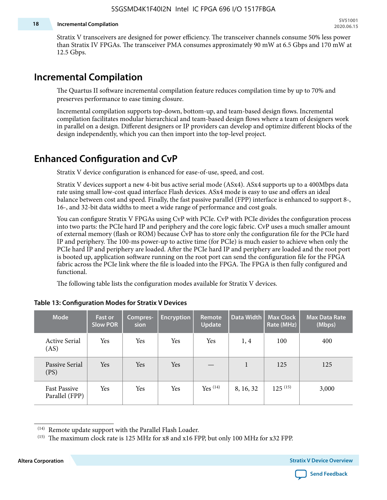#### **18 Incremental Compilation**

Stratix V transceivers are designed for power efficiency. The transceiver channels consume 50% less power than Stratix IV FPGAs. The transceiver PMA consumes approximately 90 mW at 6.5 Gbps and 170 mW at 12.5 Gbps.

### **Incremental Compilation**

The Quartus II software incremental compilation feature reduces compilation time by up to 70% and preserves performance to ease timing closure.

Incremental compilation supports top-down, bottom-up, and team-based design flows. Incremental compilation facilitates modular hierarchical and team-based design flows where a team of designers work in parallel on a design. Different designers or IP providers can develop and optimize different blocks of the design independently, which you can then import into the top-level project.

### **Enhanced Configuration and CvP**

Stratix V device configuration is enhanced for ease-of-use, speed, and cost.

Stratix V devices support a new 4-bit bus active serial mode (ASx4). ASx4 supports up to a 400Mbps data rate using small low-cost quad interface Flash devices. ASx4 mode is easy to use and offers an ideal balance between cost and speed. Finally, the fast passive parallel (FPP) interface is enhanced to support 8-, 16-, and 32-bit data widths to meet a wide range of performance and cost goals.

You can configure Stratix V FPGAs using CvP with PCIe. CvP with PCIe divides the configuration process into two parts: the PCIe hard IP and periphery and the core logic fabric. CvP uses a much smaller amount of external memory (flash or ROM) because CvP has to store only the configuration file for the PCIe hard IP and periphery. The 100-ms power-up to active time (for PCIe) is much easier to achieve when only the PCIe hard IP and periphery are loaded. After the PCIe hard IP and periphery are loaded and the root port is booted up, application software running on the root port can send the configuration file for the FPGA fabric across the PCIe link where the file is loaded into the FPGA. The FPGA is then fully configured and functional.

The following table lists the configuration modes available for Stratix V devices.

| <b>Mode</b>                           | <b>Fast or</b><br><b>Slow POR</b> | Compres-<br>sion | <b>Encryption</b> | Remote<br><b>Update</b> | Data Width | <b>Max Clock</b><br>Rate (MHz) | <b>Max Data Rate</b><br>(Mbps) |
|---------------------------------------|-----------------------------------|------------------|-------------------|-------------------------|------------|--------------------------------|--------------------------------|
| <b>Active Serial</b><br>(AS)          | Yes                               | Yes              | Yes               | Yes                     | 1, 4       | 100                            | 400                            |
| Passive Serial<br>(PS)                | Yes                               | Yes              | Yes               |                         | 1          | 125                            | 125                            |
| <b>Fast Passive</b><br>Parallel (FPP) | Yes                               | Yes              | Yes               | $Yes$ $(14)$            | 8, 16, 32  | $125^{(15)}$                   | 3,000                          |

#### **Table 13: Configuration Modes for Stratix V Devices**

**Altera Corporation Stratix V Device Overview**



<sup>(14)</sup> Remote update support with the Parallel Flash Loader.

<sup>&</sup>lt;sup>(15)</sup> The maximum clock rate is 125 MHz for x8 and x16 FPP, but only 100 MHz for x32 FPP.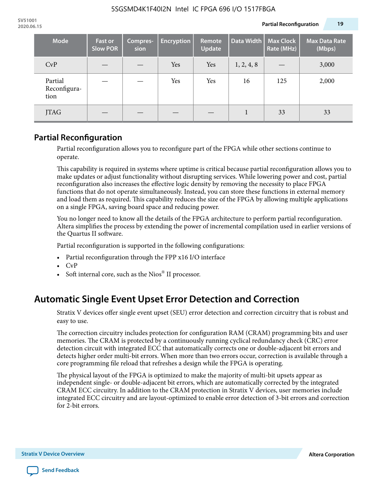| <b>Mode</b>                     | <b>Fast or</b><br><b>Slow POR</b> | Compres-<br>sion | <b>Encryption</b> | Remote<br>Update | Data Width | <b>Max Clock</b><br>Rate (MHz) | <b>Max Data Rate</b><br>(Mbps) |
|---------------------------------|-----------------------------------|------------------|-------------------|------------------|------------|--------------------------------|--------------------------------|
| CvP                             |                                   |                  | Yes               | Yes              | 1, 2, 4, 8 |                                | 3,000                          |
| Partial<br>Reconfigura-<br>tion |                                   |                  | Yes               | Yes              | 16         | 125                            | 2,000                          |
| <b>JTAG</b>                     |                                   |                  |                   |                  |            | 33                             | 33                             |

### **Partial Reconfiguration**

Partial reconfiguration allows you to reconfigure part of the FPGA while other sections continue to operate.

This capability is required in systems where uptime is critical because partial reconfiguration allows you to make updates or adjust functionality without disrupting services. While lowering power and cost, partial reconfiguration also increases the effective logic density by removing the necessity to place FPGA functions that do not operate simultaneously. Instead, you can store these functions in external memory and load them as required. This capability reduces the size of the FPGA by allowing multiple applications on a single FPGA, saving board space and reducing power.

You no longer need to know all the details of the FPGA architecture to perform partial reconfiguration. Altera simplifies the process by extending the power of incremental compilation used in earlier versions of the Quartus II software.

Partial reconfiguration is supported in the following configurations:

- Partial reconfiguration through the FPP x16 I/O interface
- CvP
- Soft internal core, such as the Nios® II processor.

### **Automatic Single Event Upset Error Detection and Correction**

Stratix V devices offer single event upset (SEU) error detection and correction circuitry that is robust and easy to use.

The correction circuitry includes protection for configuration RAM (CRAM) programming bits and user memories. The CRAM is protected by a continuously running cyclical redundancy check (CRC) error detection circuit with integrated ECC that automatically corrects one or double-adjacent bit errors and detects higher order multi-bit errors. When more than two errors occur, correction is available through a core programming file reload that refreshes a design while the FPGA is operating.

The physical layout of the FPGA is optimized to make the majority of multi-bit upsets appear as independent single- or double-adjacent bit errors, which are automatically corrected by the integrated CRAM ECC circuitry. In addition to the CRAM protection in Stratix V devices, user memories include integrated ECC circuitry and are layout-optimized to enable error detection of 3-bit errors and correction for 2-bit errors.

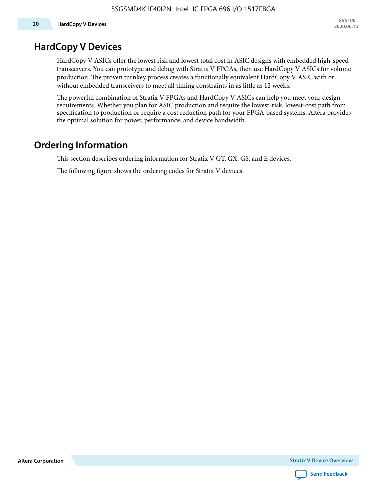### **HardCopy V Devices**

HardCopy V ASICs offer the lowest risk and lowest total cost in ASIC designs with embedded high-speed transceivers. You can prototype and debug with Stratix V FPGAs, then use HardCopy V ASICs for volume production. The proven turnkey process creates a functionally equivalent HardCopy V ASIC with or without embedded transceivers to meet all timing constraints in as little as 12 weeks.

The powerful combination of Stratix V FPGAs and HardCopy V ASICs can help you meet your design requirements. Whether you plan for ASIC production and require the lowest-risk, lowest-cost path from specification to production or require a cost reduction path for your FPGA-based systems, Altera provides the optimal solution for power, performance, and device bandwidth.

### **Ordering Information**

This section describes ordering information for Stratix V GT, GX, GS, and E devices.

The following figure shows the ordering codes for Stratix V devices.

**Altera Corporation** 

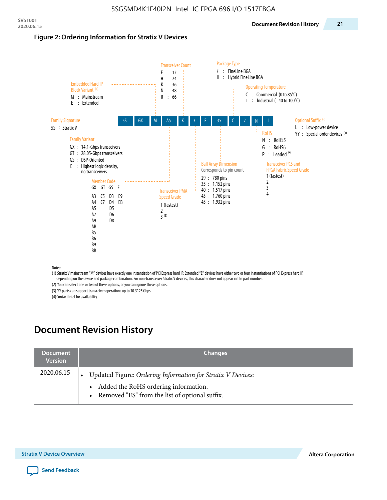#### **Figure 2: Ordering Information for Stratix V Devices**



(1) Stratix V mainstream "M" devices have exactly one instantiation of PCI Express hard IP. Extended "E" devices have either two or four instantiations of PCI Express hard IP, depending on the device and package combination. For non-transceiver Stratix V devices, this character does not appear in the part number.

(2) You can select one or two of these options, or you can ignore these options.

(3) YY parts can support transceiver operations up to 10.3125 Gbps.

(4) Contact Intel for availability.

### **Document Revision History**

| <b>Document</b><br><b>Version</b> | <b>Changes</b>                                                                                                                                            |
|-----------------------------------|-----------------------------------------------------------------------------------------------------------------------------------------------------------|
| 2020.06.15                        | Updated Figure: Ordering Information for Stratix V Devices:<br>• Added the RoHS ordering information.<br>• Removed "ES" from the list of optional suffix. |

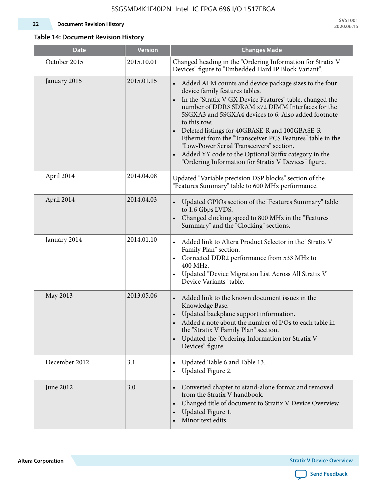#### **22 Document Revision History**

**SV51001 2020.06.15**

### **Table 14: Document Revision History**

| <b>Date</b>   | <b>Version</b> | <b>Changes Made</b>                                                                                                                                                                                                                                                                                                                                                                                                                                                                                                                                                   |
|---------------|----------------|-----------------------------------------------------------------------------------------------------------------------------------------------------------------------------------------------------------------------------------------------------------------------------------------------------------------------------------------------------------------------------------------------------------------------------------------------------------------------------------------------------------------------------------------------------------------------|
| October 2015  | 2015.10.01     | Changed heading in the "Ordering Information for Stratix V<br>Devices" figure to "Embedded Hard IP Block Variant".                                                                                                                                                                                                                                                                                                                                                                                                                                                    |
| January 2015  | 2015.01.15     | Added ALM counts and device package sizes to the four<br>$\bullet$<br>device family features tables.<br>In the "Stratix V GX Device Features" table, changed the<br>number of DDR3 SDRAM x72 DIMM Interfaces for the<br>5SGXA3 and 5SGXA4 devices to 6. Also added footnote<br>to this row.<br>Deleted listings for 40GBASE-R and 100GBASE-R<br>Ethernet from the "Transceiver PCS Features" table in the<br>"Low-Power Serial Transceivers" section.<br>Added YY code to the Optional Suffix category in the<br>"Ordering Information for Stratix V Devices" figure. |
| April 2014    | 2014.04.08     | Updated "Variable precision DSP blocks" section of the<br>"Features Summary" table to 600 MHz performance.                                                                                                                                                                                                                                                                                                                                                                                                                                                            |
| April 2014    | 2014.04.03     | Updated GPIOs section of the "Features Summary" table<br>$\bullet$<br>to 1.6 Gbps LVDS.<br>Changed clocking speed to 800 MHz in the "Features<br>Summary" and the "Clocking" sections.                                                                                                                                                                                                                                                                                                                                                                                |
| January 2014  | 2014.01.10     | Added link to Altera Product Selector in the "Stratix V<br>Family Plan" section.<br>Corrected DDR2 performance from 533 MHz to<br>$\bullet$<br>400 MHz.<br>Updated "Device Migration List Across All Stratix V<br>Device Variants" table.                                                                                                                                                                                                                                                                                                                             |
| May 2013      | 2013.05.06     | Added link to the known document issues in the<br>Knowledge Base.<br>Updated backplane support information.<br>$\bullet$<br>Added a note about the number of I/Os to each table in<br>the "Stratix V Family Plan" section.<br>Updated the "Ordering Information for Stratix V<br>$\bullet$<br>Devices" figure.                                                                                                                                                                                                                                                        |
| December 2012 | 3.1            | Updated Table 6 and Table 13.<br>$\bullet$<br>Updated Figure 2.<br>$\bullet$                                                                                                                                                                                                                                                                                                                                                                                                                                                                                          |
| June 2012     | 3.0            | Converted chapter to stand-alone format and removed<br>$\bullet$<br>from the Stratix V handbook.<br>Changed title of document to Stratix V Device Overview<br>$\bullet$<br>Updated Figure 1.<br>$\bullet$<br>Minor text edits.                                                                                                                                                                                                                                                                                                                                        |

**Altera Corporation** 

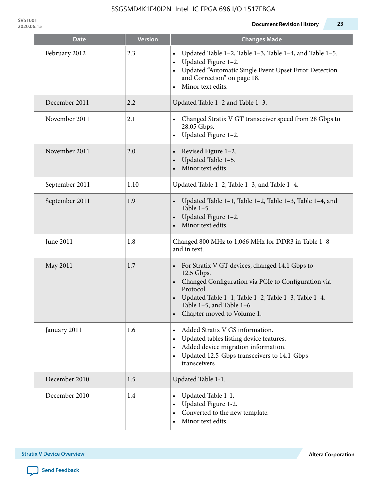**SV51001**

| <b>Date</b>    | <b>Version</b> | <b>Changes Made</b>                                                                                                                                                                                                                                                |
|----------------|----------------|--------------------------------------------------------------------------------------------------------------------------------------------------------------------------------------------------------------------------------------------------------------------|
| February 2012  | 2.3            | Updated Table 1-2, Table 1-3, Table 1-4, and Table 1-5.<br>Updated Figure 1-2.<br>$\bullet$<br>Updated "Automatic Single Event Upset Error Detection<br>and Correction" on page 18.<br>Minor text edits.<br>$\bullet$                                              |
| December 2011  | 2.2            | Updated Table 1-2 and Table 1-3.                                                                                                                                                                                                                                   |
| November 2011  | 2.1            | Changed Stratix V GT transceiver speed from 28 Gbps to<br>28.05 Gbps.<br>Updated Figure 1-2.<br>$\bullet$                                                                                                                                                          |
| November 2011  | 2.0            | Revised Figure 1-2.<br>Updated Table 1-5.<br>Minor text edits.                                                                                                                                                                                                     |
| September 2011 | 1.10           | Updated Table 1-2, Table 1-3, and Table 1-4.                                                                                                                                                                                                                       |
| September 2011 | 1.9            | Updated Table 1-1, Table 1-2, Table 1-3, Table 1-4, and<br>Table $1-5$ .<br>Updated Figure 1-2.<br>Minor text edits.                                                                                                                                               |
| June 2011      | 1.8            | Changed 800 MHz to 1,066 MHz for DDR3 in Table 1-8<br>and in text.                                                                                                                                                                                                 |
| May 2011       | 1.7            | For Stratix V GT devices, changed 14.1 Gbps to<br>12.5 Gbps.<br>• Changed Configuration via PCIe to Configuration via<br>Protocol<br>Updated Table 1–1, Table 1–2, Table 1–3, Table 1–4,<br>$\bullet$<br>Table 1-5, and Table 1-6.<br>• Chapter moved to Volume 1. |
| January 2011   | 1.6            | Added Stratix V GS information.<br>Updated tables listing device features.<br>Added device migration information.<br>$\bullet$<br>Updated 12.5-Gbps transceivers to 14.1-Gbps<br>$\bullet$<br>transceivers                                                         |
| December 2010  | 1.5            | Updated Table 1-1.                                                                                                                                                                                                                                                 |
| December 2010  | 1.4            | Updated Table 1-1.<br>Updated Figure 1-2.<br>Converted to the new template.<br>Minor text edits.                                                                                                                                                                   |

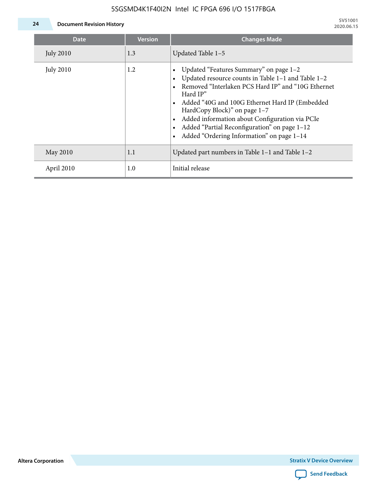### 5SGSMD4K1F40I2N Intel IC FPGA 696 I/O 1517FBGA



| <b>Date</b>      | <b>Version</b> | <b>Changes Made</b>                                                                                                                                                                                                                                                                                                                                                                               |
|------------------|----------------|---------------------------------------------------------------------------------------------------------------------------------------------------------------------------------------------------------------------------------------------------------------------------------------------------------------------------------------------------------------------------------------------------|
| <b>July 2010</b> | 1.3            | Updated Table 1-5                                                                                                                                                                                                                                                                                                                                                                                 |
| <b>July 2010</b> | 1.2            | Updated "Features Summary" on page 1-2<br>Updated resource counts in Table 1-1 and Table 1-2<br>Removed "Interlaken PCS Hard IP" and "10G Ethernet<br>Hard IP"<br>• Added "40G and 100G Ethernet Hard IP (Embedded<br>HardCopy Block)" on page 1-7<br>Added information about Configuration via PCIe<br>Added "Partial Reconfiguration" on page 1-12<br>Added "Ordering Information" on page 1-14 |
| May 2010         | 1.1            | Updated part numbers in Table 1-1 and Table 1-2                                                                                                                                                                                                                                                                                                                                                   |
| April 2010       | 1.0            | Initial release                                                                                                                                                                                                                                                                                                                                                                                   |

**Altera Corporation**